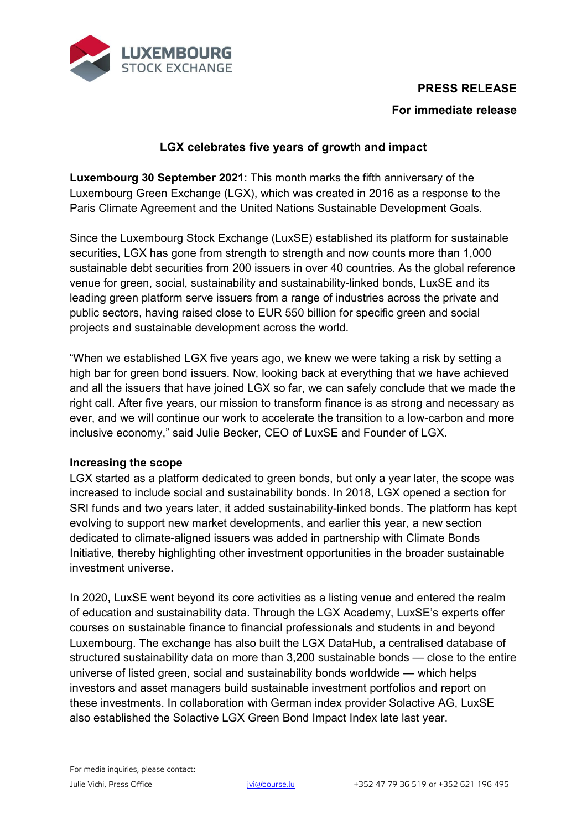



# **For immediate release**

## **LGX celebrates five years of growth and impact**

**Luxembourg 30 September 2021**: This month marks the fifth anniversary of the Luxembourg Green Exchange (LGX), which was created in 2016 as a response to the Paris Climate Agreement and the United Nations Sustainable Development Goals.

Since the Luxembourg Stock Exchange (LuxSE) established its platform for sustainable securities, LGX has gone from strength to strength and now counts more than 1,000 sustainable debt securities from 200 issuers in over 40 countries. As the global reference venue for green, social, sustainability and sustainability-linked bonds, LuxSE and its leading green platform serve issuers from a range of industries across the private and public sectors, having raised close to EUR 550 billion for specific green and social projects and sustainable development across the world.

"When we established LGX five years ago, we knew we were taking a risk by setting a high bar for green bond issuers. Now, looking back at everything that we have achieved and all the issuers that have joined LGX so far, we can safely conclude that we made the right call. After five years, our mission to transform finance is as strong and necessary as ever, and we will continue our work to accelerate the transition to a low-carbon and more inclusive economy," said Julie Becker, CEO of LuxSE and Founder of LGX.

## **Increasing the scope**

LGX started as a platform dedicated to green bonds, but only a year later, the scope was increased to include social and sustainability bonds. In 2018, LGX opened a section for SRI funds and two years later, it added sustainability-linked bonds. The platform has kept evolving to support new market developments, and earlier this year, a new section dedicated to climate-aligned issuers was added in partnership with Climate Bonds Initiative, thereby highlighting other investment opportunities in the broader sustainable investment universe.

In 2020, LuxSE went beyond its core activities as a listing venue and entered the realm of education and sustainability data. Through the LGX Academy, LuxSE's experts offer courses on sustainable finance to financial professionals and students in and beyond Luxembourg. The exchange has also built the LGX DataHub, a centralised database of structured sustainability data on more than 3,200 sustainable bonds — close to the entire universe of listed green, social and sustainability bonds worldwide — which helps investors and asset managers build sustainable investment portfolios and report on these investments. In collaboration with German index provider Solactive AG, LuxSE also established the Solactive LGX Green Bond Impact Index late last year.